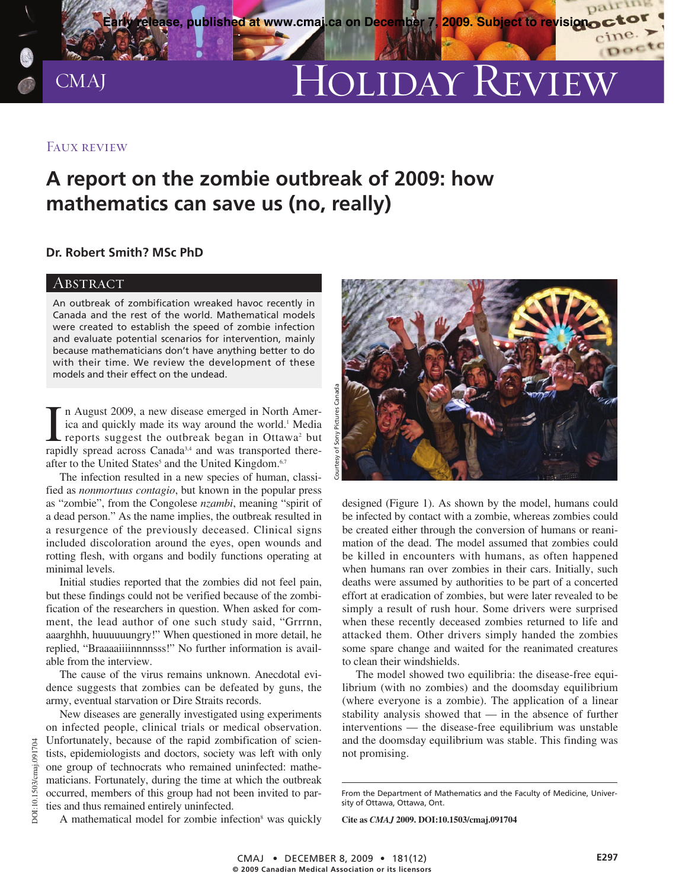

# CMAJ HOLIDAY REVIEW

(Doct

## Faux review

# **A report on the zombie outbreak of 2009: how mathematics can save us (no, really)**

### **Dr. Robert Smith? MSc PhD**

### **ABSTRACT**

An outbreak of zombification wreaked havoc recently in Canada and the rest of the world. Mathematical models were created to establish the speed of zombie infection and evaluate potential scenarios for intervention, mainly because mathematicians don't have anything better to do with their time. We review the development of these models and their effect on the undead.

In August 2009, a new disease emerged in North America and quickly made its way around the world.<sup>1</sup> Media reports suggest the outbreak began in Ottawa<sup>2</sup> but rapidly spread across Canada<sup>3,4</sup> and was transported theren August 2009, a new disease emerged in North America and quickly made its way around the world.<sup>1</sup> Media reports suggest the outbreak began in Ottawa<sup>2</sup> but after to the United States<sup>5</sup> and the United Kingdom.<sup>6,7</sup>

The infection resulted in a new species of human, classified as *nonmortuus contagio*, but known in the popular press as "zombie", from the Congolese *nzambi*, meaning "spirit of a dead person." As the name implies, the outbreak resulted in a resurgence of the previously deceased. Clinical signs included discoloration around the eyes, open wounds and rotting flesh, with organs and bodily functions operating at minimal levels.

Initial studies reported that the zombies did not feel pain, but these findings could not be verified because of the zombification of the researchers in question. When asked for comment, the lead author of one such study said, "Grrrnn, aaarghhh, huuuuuungry!" When questioned in more detail, he replied, "Braaaaiiiinnnnsss!" No further information is available from the interview.

The cause of the virus remains unknown. Anecdotal evidence suggests that zombies can be defeated by guns, the army, eventual starvation or Dire Straits records.

New diseases are generally investigated using experiments on infected people, clinical trials or medical observation. Unfortunately, because of the rapid zombification of scientists, epidemiologists and doctors, society was left with only one group of technocrats who remained uninfected: mathematicians. Fortunately, during the time at which the outbreak occurred, members of this group had not been invited to parties and thus remained entirely uninfected.



designed (Figure 1). As shown by the model, humans could be infected by contact with a zombie, whereas zombies could be created either through the conversion of humans or reanimation of the dead. The model assumed that zombies could be killed in encounters with humans, as often happened when humans ran over zombies in their cars. Initially, such deaths were assumed by authorities to be part of a concerted effort at eradication of zombies, but were later revealed to be simply a result of rush hour. Some drivers were surprised when these recently deceased zombies returned to life and attacked them. Other drivers simply handed the zombies some spare change and waited for the reanimated creatures to clean their windshields.

The model showed two equilibria: the disease-free equilibrium (with no zombies) and the doomsday equilibrium (where everyone is a zombie). The application of a linear stability analysis showed that — in the absence of further interventions — the disease-free equilibrium was unstable and the doomsday equilibrium was stable. This finding was not promising.

**Cite as** *CMAJ* **2009. DOI:10.1503/cmaj.091704**

A mathematical model for zombie infection<sup>8</sup> was quickly

From the Department of Mathematics and the Faculty of Medicine, University of Ottawa, Ottawa, Ont.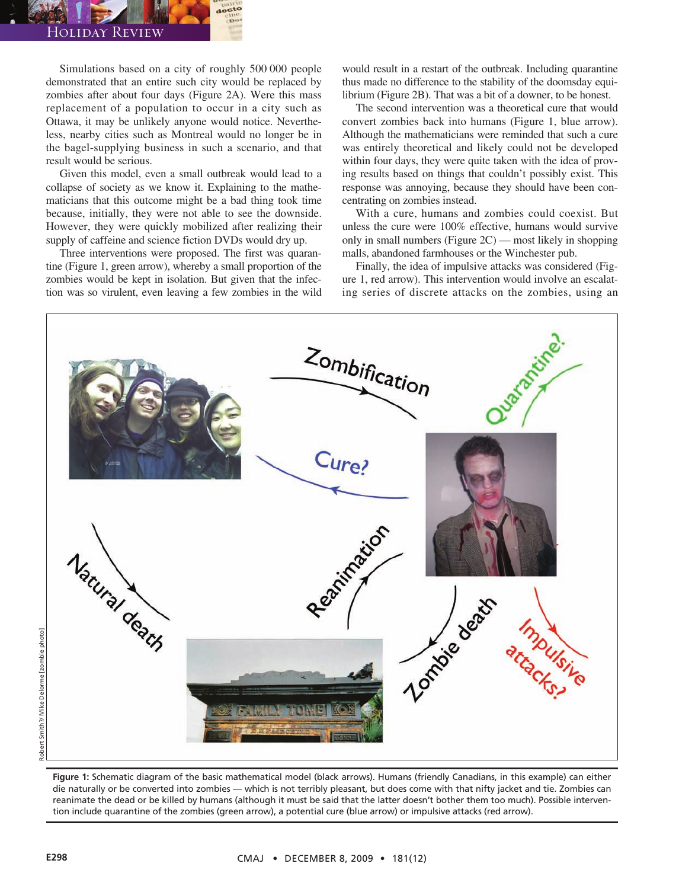#### Holiday Review

Simulations based on a city of roughly 500 000 people demonstrated that an entire such city would be replaced by zombies after about four days (Figure 2A). Were this mass replacement of a population to occur in a city such as Ottawa, it may be unlikely anyone would notice. Nevertheless, nearby cities such as Montreal would no longer be in the bagel-supplying business in such a scenario, and that result would be serious.

Given this model, even a small outbreak would lead to a collapse of society as we know it. Explaining to the mathematicians that this outcome might be a bad thing took time because, initially, they were not able to see the downside. However, they were quickly mobilized after realizing their supply of caffeine and science fiction DVDs would dry up.

Three interventions were proposed. The first was quarantine (Figure 1, green arrow), whereby a small proportion of the zombies would be kept in isolation. But given that the infection was so virulent, even leaving a few zombies in the wild

would result in a restart of the outbreak. Including quarantine thus made no difference to the stability of the doomsday equilibrium (Figure 2B). That was a bit of a downer, to be honest.

The second intervention was a theoretical cure that would convert zombies back into humans (Figure 1, blue arrow). Although the mathematicians were reminded that such a cure was entirely theoretical and likely could not be developed within four days, they were quite taken with the idea of proving results based on things that couldn't possibly exist. This response was annoying, because they should have been concentrating on zombies instead.

With a cure, humans and zombies could coexist. But unless the cure were 100% effective, humans would survive only in small numbers (Figure 2C) — most likely in shopping malls, abandoned farmhouses or the Winchester pub.

Finally, the idea of impulsive attacks was considered (Figure 1, red arrow). This intervention would involve an escalating series of discrete attacks on the zombies, using an



**Figure 1:** Schematic diagram of the basic mathematical model (black arrows). Humans (friendly Canadians, in this example) can either die naturally or be converted into zombies — which is not terribly pleasant, but does come with that nifty jacket and tie. Zombies can reanimate the dead or be killed by humans (although it must be said that the latter doesn't bother them too much). Possible intervention include quarantine of the zombies (green arrow), a potential cure (blue arrow) or impulsive attacks (red arrow).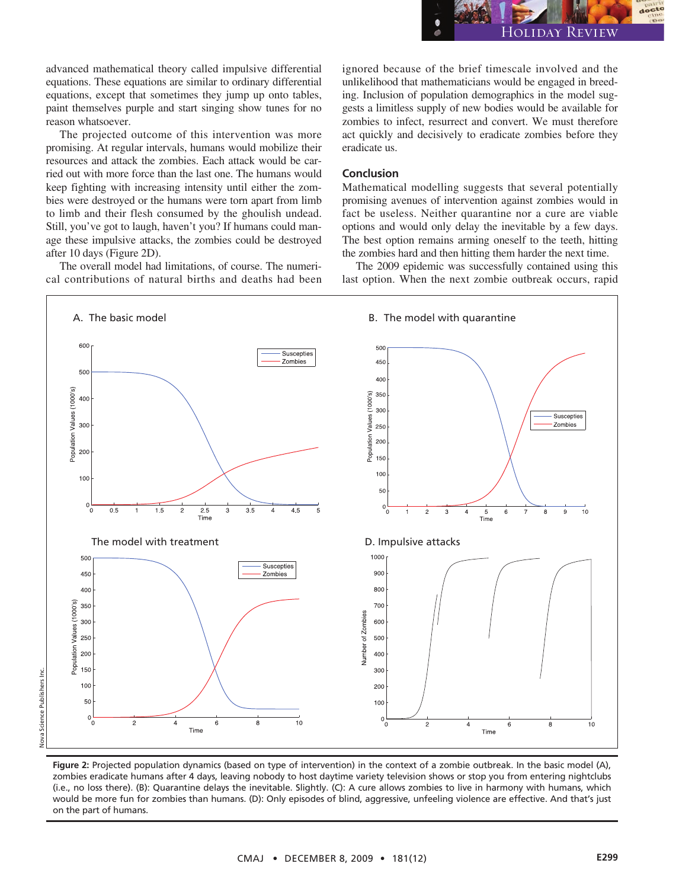

advanced mathematical theory called impulsive differential equations. These equations are similar to ordinary differential equations, except that sometimes they jump up onto tables, paint themselves purple and start singing show tunes for no reason whatsoever.

The projected outcome of this intervention was more promising. At regular intervals, humans would mobilize their resources and attack the zombies. Each attack would be carried out with more force than the last one. The humans would keep fighting with increasing intensity until either the zombies were destroyed or the humans were torn apart from limb to limb and their flesh consumed by the ghoulish undead. Still, you've got to laugh, haven't you? If humans could manage these impulsive attacks, the zombies could be destroyed after 10 days (Figure 2D).

The overall model had limitations, of course. The numerical contributions of natural births and deaths had been

ignored because of the brief timescale involved and the unlikelihood that mathematicians would be engaged in breeding. Inclusion of population demographics in the model suggests a limitless supply of new bodies would be available for zombies to infect, resurrect and convert. We must therefore act quickly and decisively to eradicate zombies before they eradicate us.

#### **Conclusion**

Mathematical modelling suggests that several potentially promising avenues of intervention against zombies would in fact be useless. Neither quarantine nor a cure are viable options and would only delay the inevitable by a few days. The best option remains arming oneself to the teeth, hitting the zombies hard and then hitting them harder the next time.

The 2009 epidemic was successfully contained using this last option. When the next zombie outbreak occurs, rapid



**Figure 2:** Projected population dynamics (based on type of intervention) in the context of a zombie outbreak. In the basic model (A), zombies eradicate humans after 4 days, leaving nobody to host daytime variety television shows or stop you from entering nightclubs (i.e., no loss there). (B): Quarantine delays the inevitable. Slightly. (C): A cure allows zombies to live in harmony with humans, which would be more fun for zombies than humans. (D): Only episodes of blind, aggressive, unfeeling violence are effective. And that's just on the part of humans.